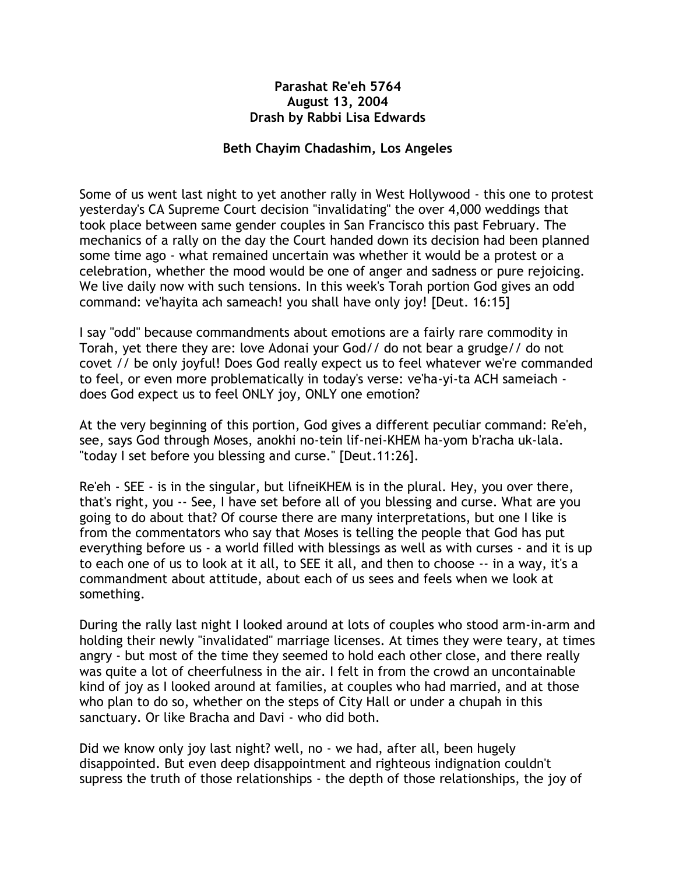## **Parashat Re'eh 5764 August 13, 2004 Drash by Rabbi Lisa Edwards**

## **Beth Chayim Chadashim, Los Angeles**

Some of us went last night to yet another rally in West Hollywood - this one to protest yesterday's CA Supreme Court decision "invalidating" the over 4,000 weddings that took place between same gender couples in San Francisco this past February. The mechanics of a rally on the day the Court handed down its decision had been planned some time ago - what remained uncertain was whether it would be a protest or a celebration, whether the mood would be one of anger and sadness or pure rejoicing. We live daily now with such tensions. In this week's Torah portion God gives an odd command: ve'hayita ach sameach! you shall have only joy! [Deut. 16:15]

I say "odd" because commandments about emotions are a fairly rare commodity in Torah, yet there they are: love Adonai your God// do not bear a grudge// do not covet // be only joyful! Does God really expect us to feel whatever we're commanded to feel, or even more problematically in today's verse: ve'ha-yi-ta ACH sameiach does God expect us to feel ONLY joy, ONLY one emotion?

At the very beginning of this portion, God gives a different peculiar command: Re'eh, see, says God through Moses, anokhi no-tein lif-nei-KHEM ha-yom b'racha uk-lala. "today I set before you blessing and curse." [Deut.11:26].

Re'eh - SEE - is in the singular, but lifneiKHEM is in the plural. Hey, you over there, that's right, you -- See, I have set before all of you blessing and curse. What are you going to do about that? Of course there are many interpretations, but one I like is from the commentators who say that Moses is telling the people that God has put everything before us - a world filled with blessings as well as with curses - and it is up to each one of us to look at it all, to SEE it all, and then to choose -- in a way, it's a commandment about attitude, about each of us sees and feels when we look at something.

During the rally last night I looked around at lots of couples who stood arm-in-arm and holding their newly "invalidated" marriage licenses. At times they were teary, at times angry - but most of the time they seemed to hold each other close, and there really was quite a lot of cheerfulness in the air. I felt in from the crowd an uncontainable kind of joy as I looked around at families, at couples who had married, and at those who plan to do so, whether on the steps of City Hall or under a chupah in this sanctuary. Or like Bracha and Davi - who did both.

Did we know only joy last night? well, no - we had, after all, been hugely disappointed. But even deep disappointment and righteous indignation couldn't supress the truth of those relationships - the depth of those relationships, the joy of